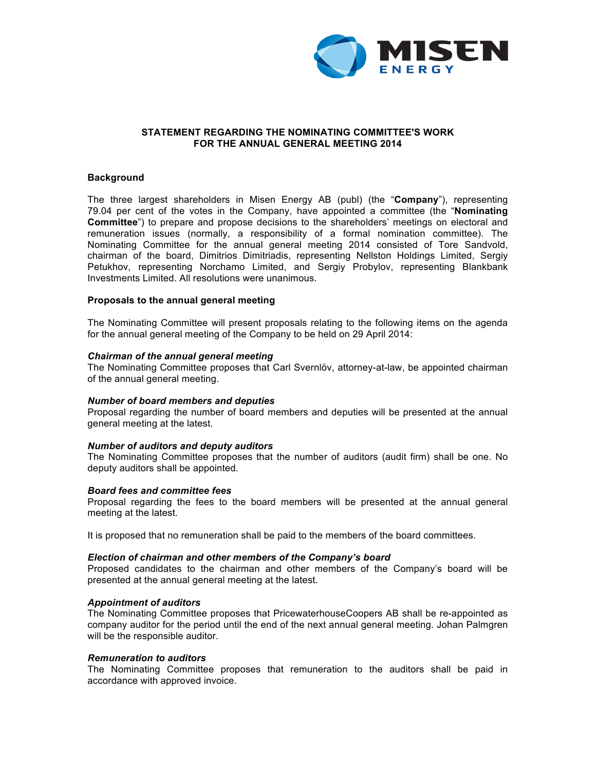

## **STATEMENT REGARDING THE NOMINATING COMMITTEE'S WORK FOR THE ANNUAL GENERAL MEETING 2014**

### **Background**

The three largest shareholders in Misen Energy AB (publ) (the "**Company**"), representing 79.04 per cent of the votes in the Company, have appointed a committee (the "**Nominating Committee**") to prepare and propose decisions to the shareholders' meetings on electoral and remuneration issues (normally, a responsibility of a formal nomination committee). The Nominating Committee for the annual general meeting 2014 consisted of Tore Sandvold, chairman of the board, Dimitrios Dimitriadis, representing Nellston Holdings Limited, Sergiy Petukhov, representing Norchamo Limited, and Sergiy Probylov, representing Blankbank Investments Limited. All resolutions were unanimous.

### **Proposals to the annual general meeting**

The Nominating Committee will present proposals relating to the following items on the agenda for the annual general meeting of the Company to be held on 29 April 2014:

### *Chairman of the annual general meeting*

The Nominating Committee proposes that Carl Svernlöv, attorney-at-law, be appointed chairman of the annual general meeting.

### *Number of board members and deputies*

Proposal regarding the number of board members and deputies will be presented at the annual general meeting at the latest.

### *Number of auditors and deputy auditors*

The Nominating Committee proposes that the number of auditors (audit firm) shall be one. No deputy auditors shall be appointed.

### *Board fees and committee fees*

Proposal regarding the fees to the board members will be presented at the annual general meeting at the latest.

It is proposed that no remuneration shall be paid to the members of the board committees.

### *Election of chairman and other members of the Company's board*

Proposed candidates to the chairman and other members of the Company's board will be presented at the annual general meeting at the latest.

### *Appointment of auditors*

The Nominating Committee proposes that PricewaterhouseCoopers AB shall be re-appointed as company auditor for the period until the end of the next annual general meeting. Johan Palmgren will be the responsible auditor.

### *Remuneration to auditors*

The Nominating Committee proposes that remuneration to the auditors shall be paid in accordance with approved invoice.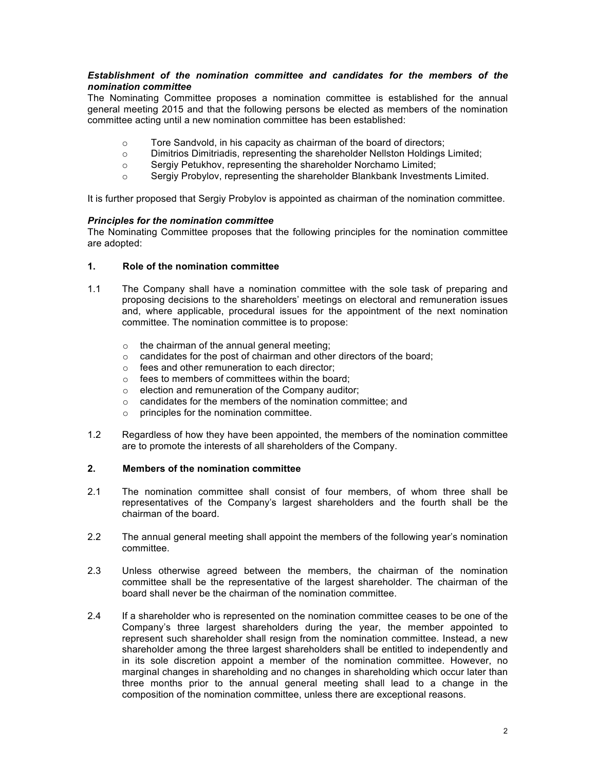## *Establishment of the nomination committee and candidates for the members of the nomination committee*

The Nominating Committee proposes a nomination committee is established for the annual general meeting 2015 and that the following persons be elected as members of the nomination committee acting until a new nomination committee has been established:

- o Tore Sandvold, in his capacity as chairman of the board of directors;
- $\circ$  Dimitrios Dimitriadis, representing the shareholder Nellston Holdings Limited;
- o Sergiy Petukhov, representing the shareholder Norchamo Limited;
- o Sergiy Probylov, representing the shareholder Blankbank Investments Limited.

It is further proposed that Sergiy Probylov is appointed as chairman of the nomination committee.

## *Principles for the nomination committee*

The Nominating Committee proposes that the following principles for the nomination committee are adopted:

# **1. Role of the nomination committee**

- 1.1 The Company shall have a nomination committee with the sole task of preparing and proposing decisions to the shareholders' meetings on electoral and remuneration issues and, where applicable, procedural issues for the appointment of the next nomination committee. The nomination committee is to propose:
	- o the chairman of the annual general meeting;
	- o candidates for the post of chairman and other directors of the board;
	- o fees and other remuneration to each director;
	- o fees to members of committees within the board;
	- $\circ$  election and remuneration of the Company auditor;
	- o candidates for the members of the nomination committee; and
	- o principles for the nomination committee.
- 1.2 Regardless of how they have been appointed, the members of the nomination committee are to promote the interests of all shareholders of the Company.

## **2. Members of the nomination committee**

- 2.1 The nomination committee shall consist of four members, of whom three shall be representatives of the Company's largest shareholders and the fourth shall be the chairman of the board.
- 2.2 The annual general meeting shall appoint the members of the following year's nomination committee.
- 2.3 Unless otherwise agreed between the members, the chairman of the nomination committee shall be the representative of the largest shareholder. The chairman of the board shall never be the chairman of the nomination committee.
- 2.4 If a shareholder who is represented on the nomination committee ceases to be one of the Company's three largest shareholders during the year, the member appointed to represent such shareholder shall resign from the nomination committee. Instead, a new shareholder among the three largest shareholders shall be entitled to independently and in its sole discretion appoint a member of the nomination committee. However, no marginal changes in shareholding and no changes in shareholding which occur later than three months prior to the annual general meeting shall lead to a change in the composition of the nomination committee, unless there are exceptional reasons.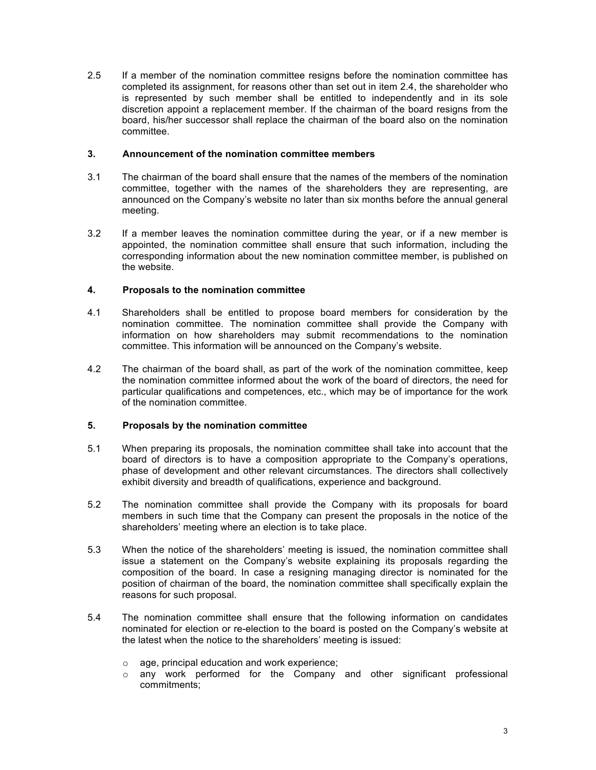2.5 If a member of the nomination committee resigns before the nomination committee has completed its assignment, for reasons other than set out in item 2.4, the shareholder who is represented by such member shall be entitled to independently and in its sole discretion appoint a replacement member. If the chairman of the board resigns from the board, his/her successor shall replace the chairman of the board also on the nomination committee.

## **3. Announcement of the nomination committee members**

- 3.1 The chairman of the board shall ensure that the names of the members of the nomination committee, together with the names of the shareholders they are representing, are announced on the Company's website no later than six months before the annual general meeting.
- 3.2 If a member leaves the nomination committee during the year, or if a new member is appointed, the nomination committee shall ensure that such information, including the corresponding information about the new nomination committee member, is published on the website.

## **4. Proposals to the nomination committee**

- 4.1 Shareholders shall be entitled to propose board members for consideration by the nomination committee. The nomination committee shall provide the Company with information on how shareholders may submit recommendations to the nomination committee. This information will be announced on the Company's website.
- 4.2 The chairman of the board shall, as part of the work of the nomination committee, keep the nomination committee informed about the work of the board of directors, the need for particular qualifications and competences, etc., which may be of importance for the work of the nomination committee.

## **5. Proposals by the nomination committee**

- 5.1 When preparing its proposals, the nomination committee shall take into account that the board of directors is to have a composition appropriate to the Company's operations, phase of development and other relevant circumstances. The directors shall collectively exhibit diversity and breadth of qualifications, experience and background.
- 5.2 The nomination committee shall provide the Company with its proposals for board members in such time that the Company can present the proposals in the notice of the shareholders' meeting where an election is to take place.
- 5.3 When the notice of the shareholders' meeting is issued, the nomination committee shall issue a statement on the Company's website explaining its proposals regarding the composition of the board. In case a resigning managing director is nominated for the position of chairman of the board, the nomination committee shall specifically explain the reasons for such proposal.
- 5.4 The nomination committee shall ensure that the following information on candidates nominated for election or re-election to the board is posted on the Company's website at the latest when the notice to the shareholders' meeting is issued:
	- o age, principal education and work experience;
	- o any work performed for the Company and other significant professional commitments;